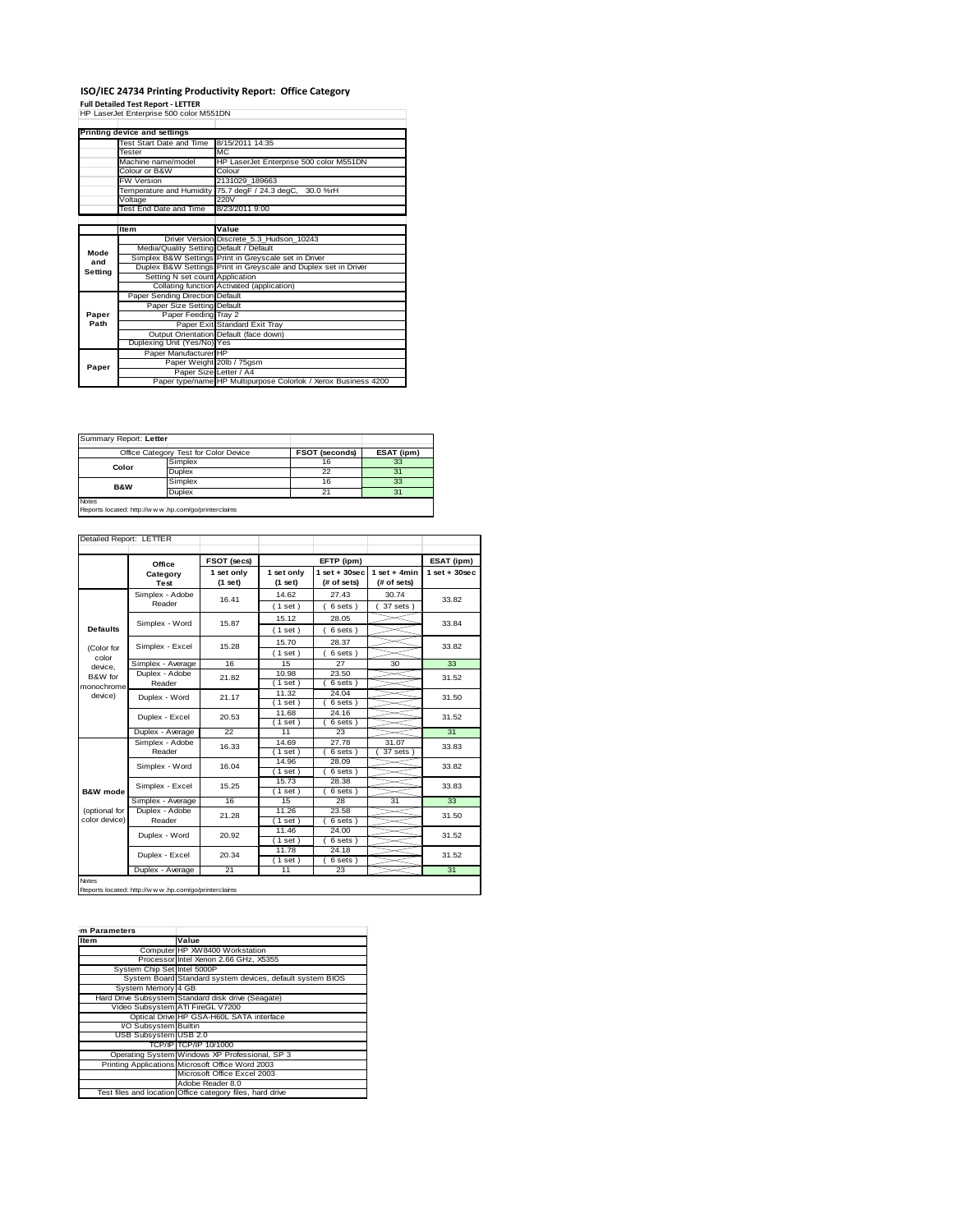## ISO/IEC 24734 Printing Productivity Report: Office Category<br>Full Detailed Test Report - LETTER<br>HP LaserJet Enterprise 500 color M551DN

|         | Printing device and settings            |                                                                 |  |  |
|---------|-----------------------------------------|-----------------------------------------------------------------|--|--|
|         | Test Start Date and Time                | 8/15/2011 14:35                                                 |  |  |
|         | Tester                                  | MC.                                                             |  |  |
|         | Machine name/model                      | HP LaserJet Enterprise 500 color M551DN                         |  |  |
|         | Colour or B&W                           | Colour<br>2131029 189663                                        |  |  |
|         | <b>FW Version</b>                       |                                                                 |  |  |
|         |                                         | Temperature and Humidity 75.7 degF / 24.3 degC, 30.0 %rH        |  |  |
|         | Voltage                                 | 220V                                                            |  |  |
|         | Test End Date and Time                  | 8/23/2011 9:00                                                  |  |  |
|         |                                         |                                                                 |  |  |
|         | Item                                    | Value                                                           |  |  |
|         |                                         | Driver Version Discrete_5.3_Hudson_10243                        |  |  |
| Mode    | Media/Quality Setting Default / Default |                                                                 |  |  |
| and     |                                         | Simplex B&W Settings Print in Greyscale set in Driver           |  |  |
| Setting |                                         | Duplex B&W Settings Print in Greyscale and Duplex set in Driver |  |  |
|         | Setting N set count Application         |                                                                 |  |  |
|         |                                         | Collating function Activated (application)                      |  |  |
|         | Paper Sending Direction Default         |                                                                 |  |  |
|         | Paper Size Setting Default              |                                                                 |  |  |
| Paper   | Paper Feeding Tray 2                    |                                                                 |  |  |
| Path    |                                         | Paper Exit Standard Exit Tray                                   |  |  |
|         |                                         | Output Orientation Default (face down)                          |  |  |
|         | Duplexing Unit (Yes/No) Yes             |                                                                 |  |  |
| Paper   | Paper Manufacturer HP                   |                                                                 |  |  |
|         | Paper Weight 20lb / 75gsm               |                                                                 |  |  |
|         | Paper Size Letter / A4                  |                                                                 |  |  |
|         |                                         | Paper type/name HP Multipurpose Colorlok / Xerox Business 4200  |  |  |

| Summary Report: Letter                                                 |                                       |                       |            |  |
|------------------------------------------------------------------------|---------------------------------------|-----------------------|------------|--|
|                                                                        | Office Category Test for Color Device | <b>FSOT (seconds)</b> | ESAT (ipm) |  |
| Color                                                                  | Simplex                               | 16                    | 33         |  |
|                                                                        | Duplex                                | 22                    | 31         |  |
| <b>B&amp;W</b>                                                         | Simplex                               | 16                    | 33         |  |
|                                                                        | Duplex                                | 21                    | 31         |  |
| <b>Notes</b><br>Reports located: http://w w w .hp.com/go/printerclaims |                                       |                       |            |  |

|                                | Office                    | FSOT (secs)           |                         | EFTP (ipm)                     |                               | ESAT (ipm)      |
|--------------------------------|---------------------------|-----------------------|-------------------------|--------------------------------|-------------------------------|-----------------|
|                                | Category<br>Test          | 1 set only<br>(1 set) | 1 set only<br>$(1$ set) | $1$ set + 30sec<br>(# of sets) | $1$ set + 4min<br>(# of sets) | $1$ set + 30sec |
|                                | Simplex - Adobe<br>Reader | 16.41                 | 14.62<br>(1 set)        | 27.43<br>6 sets)               | 30.74<br>37 sets )            | 33.82           |
| <b>Defaults</b>                | Simplex - Word            | 15.87                 | 15.12<br>(1 set)        | 28.05<br>6 sets)               |                               | 33.84           |
| (Color for                     | Simplex - Excel           | 15.28                 | 15.70<br>(1 set)        | 28.37<br>6 sets)               |                               | 33.82           |
| color<br>device.               | Simplex - Average         | 16                    | 15                      | 27                             | 30                            | 33              |
| B&W for<br>monochrome          | Duplex - Adobe<br>Reader  | 21.82                 | 10.98<br>$1$ set)       | 23.50<br>6 sets)               |                               | 31.52           |
| device)                        | Duplex - Word             | 21.17                 | 11.32<br>$1$ set)       | 24.04<br>6 sets)               |                               | 31.50           |
|                                | Duplex - Excel            | 20.53                 | 11.68<br>(1 set)        | 24.16<br>6 sets)               |                               | 31.52           |
|                                | Duplex - Average          | 22                    | 11                      | 23                             |                               | 31              |
| <b>B&amp;W</b> mode            | Simplex - Adobe<br>Reader | 16.33                 | 14.69<br>(1 set)        | 27.78<br>6 sets)               | 31.07<br>37 sets)             | 33.83           |
|                                | Simplex - Word            | 16.04                 | 14.96<br>(1 set)        | 28.09<br>6 sets)               |                               | 33.82           |
|                                | Simplex - Excel           | 15.25                 | 15.73<br>$1$ set)       | 28.38<br>6 sets)               |                               | 33.83           |
|                                | Simplex - Average         | 16                    | 15                      | 28                             | 31                            | 33              |
| (optional for<br>color device) | Duplex - Adobe<br>Reader  | 21.28                 | 11.26<br>(1 set)        | 23.58<br>6 sets)               |                               | 31.50           |
|                                | Duplex - Word             | 20.92                 | 11.46<br>(1 set)        | 24.00<br>6 sets)               |                               | 31.52           |
|                                | Duplex - Excel            | 20.34                 | 11.78<br>$1$ set)       | 24.18<br>6 sets)               |                               | 31.52           |
|                                | Duplex - Average          | 21                    | 11                      | 23                             |                               | 31              |

Notes Reports located: http://w w w .hp.com/go/printerclaims

| m Parameters                |                                                           |
|-----------------------------|-----------------------------------------------------------|
| Item                        | Value                                                     |
|                             | Computer HP XW8400 Workstation                            |
|                             | Processor Intel Xenon 2.66 GHz, X5355                     |
| System Chip Set Intel 5000P |                                                           |
|                             | System Board Standard system devices, default system BIOS |
| System Memory 4 GB          |                                                           |
|                             | Hard Drive Subsystem Standard disk drive (Seagate)        |
|                             | Video Subsystem ATI FireGL V7200                          |
|                             | Optical Drive HP GSA-H60L SATA interface                  |
| VO Subsystem Builtin        |                                                           |
| USB Subsystem USB 2.0       |                                                           |
|                             | TCP/IP TCP/IP 10/1000                                     |
|                             | Operating System Windows XP Professional, SP 3            |
|                             | Printing Applications Microsoft Office Word 2003          |
|                             | Microsoft Office Excel 2003                               |
|                             | Adobe Reader 8.0                                          |
|                             | Test files and location Office category files, hard drive |